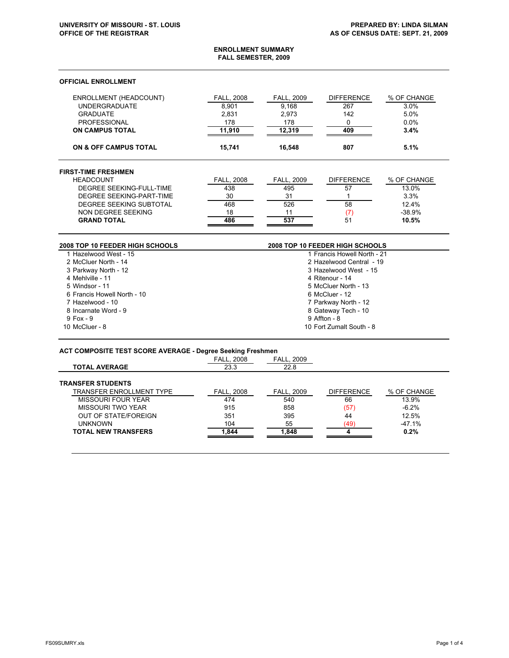J.

#### **ENROLLMENT SUMMARY FALL SEMESTER, 2009**

## **OFFICIAL ENROLLMENT**

| ENROLLMENT (HEADCOUNT)<br><b>UNDERGRADUATE</b><br><b>GRADUATE</b><br><b>PROFESSIONAL</b><br><b>ON CAMPUS TOTAL</b> | <b>FALL, 2008</b><br>8.901<br>2.831<br>178<br>11,910 | <b>FALL, 2009</b><br>9.168<br>2.973<br>178<br>12,319 | <b>DIFFERENCE</b><br>267<br>142<br>0<br>409 | % OF CHANGE<br>3.0%<br>5.0%<br>0.0%<br>3.4% |
|--------------------------------------------------------------------------------------------------------------------|------------------------------------------------------|------------------------------------------------------|---------------------------------------------|---------------------------------------------|
| <b>ON &amp; OFF CAMPUS TOTAL</b>                                                                                   | 15.741                                               | 16.548                                               | 807                                         | 5.1%                                        |
| <b>FIRST-TIME FRESHMEN</b>                                                                                         |                                                      |                                                      |                                             |                                             |
| <b>HEADCOUNT</b>                                                                                                   | <b>FALL, 2008</b>                                    | <b>FALL, 2009</b>                                    | <b>DIFFERENCE</b>                           | % OF CHANGE                                 |
| DEGREE SEEKING-FULL-TIME                                                                                           | 438                                                  | 495                                                  | 57                                          | 13.0%                                       |
| DEGREE SEEKING-PART-TIME                                                                                           | 30                                                   | 31                                                   |                                             | 3.3%                                        |
| DEGREE SEEKING SUBTOTAL                                                                                            | 468                                                  | 526                                                  | 58                                          | 12.4%                                       |
| NON DEGREE SEEKING                                                                                                 | 18                                                   | 11                                                   | (7)                                         | $-38.9%$                                    |
| <b>GRAND TOTAL</b>                                                                                                 | 486                                                  | 537                                                  | 51                                          | 10.5%                                       |

| 2008 TOP 10 FEEDER HIGH SCHOOLS | 2008 TOP 10 FEEDER HIGH SCHOOLS |
|---------------------------------|---------------------------------|
| 1 Hazelwood West - 15           | 1 Francis Howell North - 21     |
| 2 McCluer North - 14            | 2 Hazelwood Central - 19        |
| 3 Parkway North - 12            | 3 Hazelwood West - 15           |
| 4 Mehlville - 11                | 4 Ritenour - 14                 |
| 5 Windsor - 11                  | 5 McCluer North - 13            |
| 6 Francis Howell North - 10     | 6 McCluer - 12                  |
| 7 Hazelwood - 10                | 7 Parkway North - 12            |
| 8 Incarnate Word - 9            | 8 Gateway Tech - 10             |
| $9$ Fox - $9$                   | 9 Affton - 8                    |
| 10 McCluer - 8                  | 10 Fort Zumalt South - 8        |

# **ACT COMPOSITE TEST SCORE AVERAGE - Degree Seeking Freshmen**

|                                 | <b>FALL, 2008</b> | <b>FALL, 2009</b> |                   |             |  |
|---------------------------------|-------------------|-------------------|-------------------|-------------|--|
| <b>TOTAL AVERAGE</b>            | 23.3              | 22.8              |                   |             |  |
| <b>TRANSFER STUDENTS</b>        |                   |                   |                   |             |  |
| <b>TRANSFER ENROLLMENT TYPE</b> | <b>FALL. 2008</b> | <b>FALL. 2009</b> | <b>DIFFERENCE</b> | % OF CHANGE |  |
| MISSOURI FOUR YEAR              | 474               | 540               | 66                | 13.9%       |  |
| MISSOURI TWO YEAR               | 915               | 858               | (57)              | $-6.2%$     |  |
| OUT OF STATE/FOREIGN            | 351               | 395               | 44                | 12.5%       |  |
| <b>UNKNOWN</b>                  | 104               | 55                | (49)              | $-47.1%$    |  |
| <b>TOTAL NEW TRANSFERS</b>      | 1.844             | 1.848             |                   | 0.2%        |  |
|                                 |                   |                   |                   |             |  |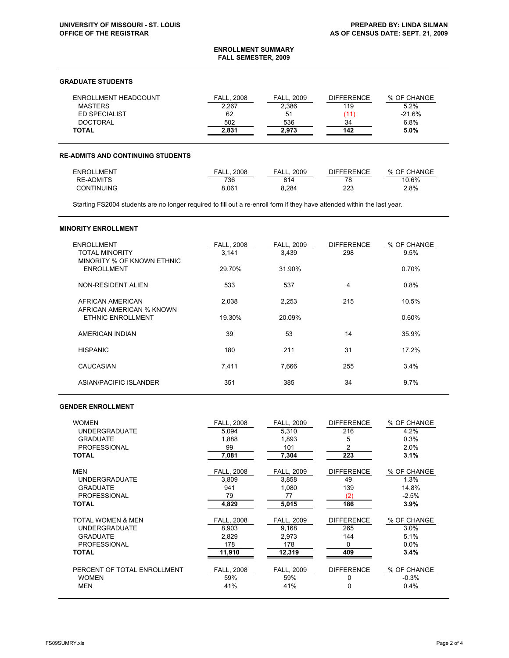#### **ENROLLMENT SUMMARY FALL SEMESTER, 2009**

## **GRADUATE STUDENTS**

| ENROLLMENT HEADCOUNT | FALL. 2008 | . 2009<br>FALL. | <b>DIFFERENCE</b> | % OF CHANGE |
|----------------------|------------|-----------------|-------------------|-------------|
| <b>MASTERS</b>       | 2.267      | 2,386           | 119               | 5.2%        |
| ED SPECIALIST        | 62         | 51              |                   | $-21.6%$    |
| <b>DOCTORAL</b>      | 502        | 536             | 34                | 6.8%        |
| <b>TOTAL</b>         | 2.831      | 2.973           | 142               | 5.0%        |

## **RE-ADMITS AND CONTINUING STUDENTS**

| ENROLLMENT        | 2008<br>FALL | 2009<br>FALL. | DIFFERENCE | % OF CHANGE |
|-------------------|--------------|---------------|------------|-------------|
| <b>RE-ADMITS</b>  | 736          | 814           | 78         | 10.6%       |
| <b>CONTINUING</b> | 8.061        | 8.284         | 223        | 2.8%        |

Starting FS2004 students are no longer required to fill out a re-enroll form if they have attended within the last year.

#### **MINORITY ENROLLMENT**

| <b>ENROLLMENT</b><br><b>TOTAL MINORITY</b><br>MINORITY % OF KNOWN ETHNIC | <b>FALL, 2008</b><br>3,141 | <b>FALL, 2009</b><br>3,439 | <b>DIFFERENCE</b><br>298 | % OF CHANGE<br>9.5% |
|--------------------------------------------------------------------------|----------------------------|----------------------------|--------------------------|---------------------|
| <b>ENROLLMENT</b>                                                        | 29.70%                     | 31.90%                     |                          | 0.70%               |
| NON-RESIDENT ALIEN                                                       | 533                        | 537                        | 4                        | 0.8%                |
| AFRICAN AMERICAN<br>AFRICAN AMERICAN % KNOWN                             | 2,038                      | 2,253                      | 215                      | 10.5%               |
| ETHNIC ENROLLMENT                                                        | 19.30%                     | 20.09%                     |                          | 0.60%               |
| AMERICAN INDIAN                                                          | 39                         | 53                         | 14                       | 35.9%               |
| <b>HISPANIC</b>                                                          | 180                        | 211                        | 31                       | 17.2%               |
| CAUCASIAN                                                                | 7.411                      | 7,666                      | 255                      | 3.4%                |
| ASIAN/PACIFIC ISLANDER                                                   | 351                        | 385                        | 34                       | 9.7%                |

# **GENDER ENROLLMENT**

| <b>WOMEN</b>                | <b>FALL. 2008</b> | <b>FALL, 2009</b> | <b>DIFFERENCE</b> | % OF CHANGE |
|-----------------------------|-------------------|-------------------|-------------------|-------------|
| <b>UNDERGRADUATE</b>        | 5,094             | 5,310             | 216               | 4.2%        |
| <b>GRADUATE</b>             | 1.888             | 1.893             | 5                 | 0.3%        |
| <b>PROFESSIONAL</b>         | 99                | 101               | 2                 | 2.0%        |
| <b>TOTAL</b>                | 7,081             | 7,304             | 223               | 3.1%        |
| <b>MEN</b>                  | <b>FALL, 2008</b> | FALL, 2009        | <b>DIFFERENCE</b> | % OF CHANGE |
| <b>UNDERGRADUATE</b>        | 3,809             | 3.858             | 49                | 1.3%        |
| <b>GRADUATE</b>             | 941               | 1,080             | 139               | 14.8%       |
| <b>PROFESSIONAL</b>         | 79                | 77                | (2)               | $-2.5%$     |
| <b>TOTAL</b>                | 4,829             | 5,015             | 186               | 3.9%        |
| TOTAL WOMEN & MEN           | FALL, 2008        | FALL, 2009        | <b>DIFFERENCE</b> | % OF CHANGE |
| <b>UNDERGRADUATE</b>        | 8,903             | 9,168             | 265               | 3.0%        |
| <b>GRADUATE</b>             | 2.829             | 2.973             | 144               | 5.1%        |
| <b>PROFESSIONAL</b>         | 178               | 178               | 0                 | $0.0\%$     |
| <b>TOTAL</b>                | 11,910            | 12,319            | 409               | 3.4%        |
| PERCENT OF TOTAL ENROLLMENT | <b>FALL, 2008</b> | FALL, 2009        | <b>DIFFERENCE</b> | % OF CHANGE |
| <b>WOMEN</b>                | 59%               | 59%               | 0                 | $-0.3%$     |
| <b>MEN</b>                  | 41%               | 41%               | 0                 | 0.4%        |